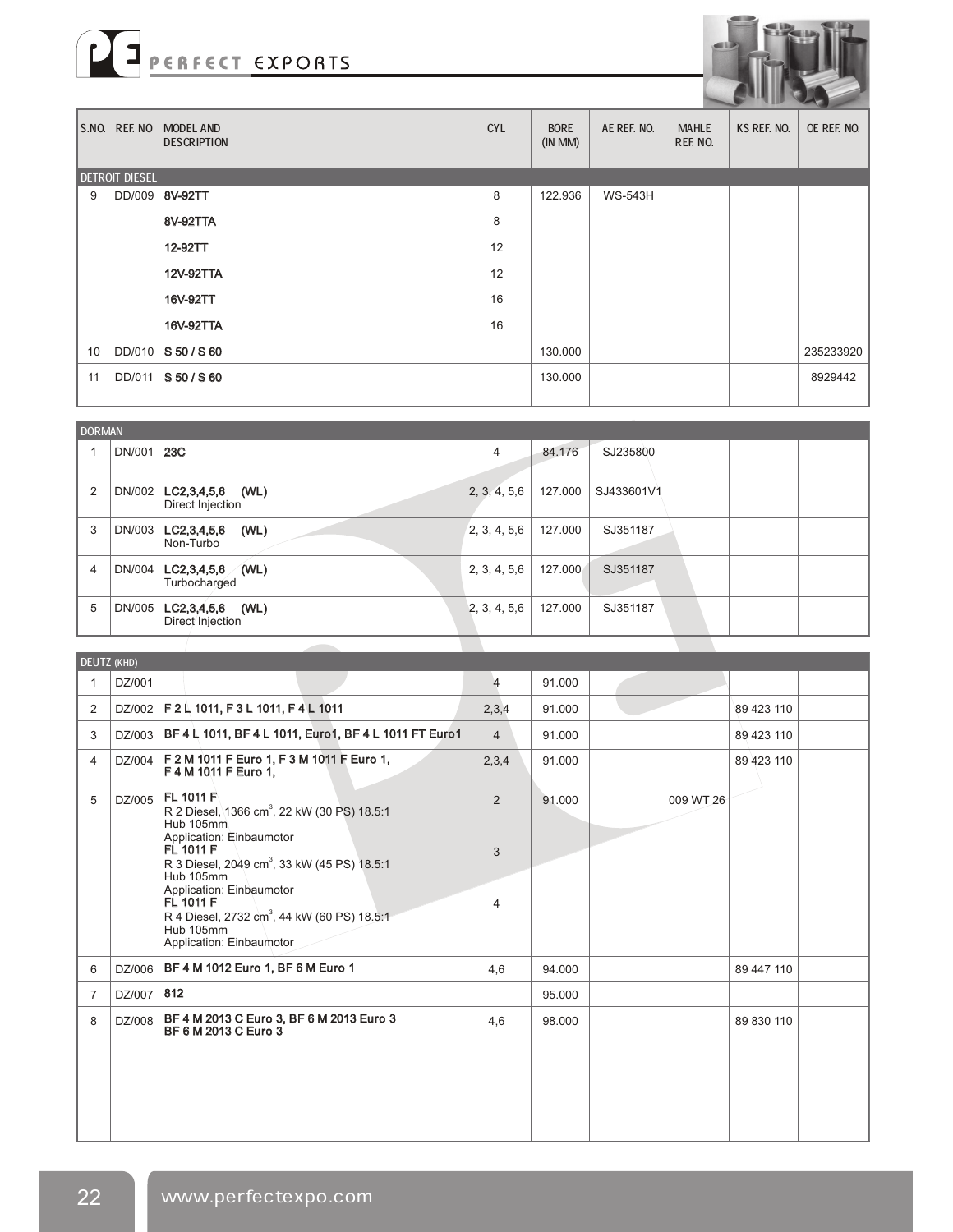



| $ $ S.NO. | REF. NO               | MODEL AND<br><b>DESCRIPTION</b> | <b>CYL</b> | <b>BORE</b><br>$(IN$ MM $)$ | AE REF. NO.    | <b>MAHLE</b><br>REF. NO. | KS REF. NO. | __<br>OE REF. NO. |
|-----------|-----------------------|---------------------------------|------------|-----------------------------|----------------|--------------------------|-------------|-------------------|
|           | <b>DETROIT DIESEL</b> |                                 |            |                             |                |                          |             |                   |
| 9         | DD/009                | 8V-92TT                         | 8          | 122.936                     | <b>WS-543H</b> |                          |             |                   |
|           |                       | 8V-92TTA                        | 8          |                             |                |                          |             |                   |
|           |                       | 12-92TT                         | 12         |                             |                |                          |             |                   |
|           |                       | 12V-92TTA                       | 12         |                             |                |                          |             |                   |
|           |                       | 16V-92TT                        | 16         |                             |                |                          |             |                   |
|           |                       | 16V-92TTA                       | 16         |                             |                |                          |             |                   |
| 10        | DD/010                | S 50 / S 60                     |            | 130.000                     |                |                          |             | 235233920         |
| 11        | DD/011                | S 50 / S 60                     |            | 130.000                     |                |                          |             | 8929442           |
|           |                       |                                 |            |                             |                |                          |             |                   |

| DORMAN         |        |                                            |                |         |            |
|----------------|--------|--------------------------------------------|----------------|---------|------------|
|                | DN/001 | 23C                                        | $\overline{4}$ | 84.176  | SJ235800   |
| $\overline{2}$ | DN/002 | LC2,3,4,5,6 (WL)<br>Direct Injection       | 2, 3, 4, 5, 6  | 127.000 | SJ433601V1 |
| 3              |        | DN/003   LC2,3,4,5,6<br>(WL)<br>Non-Turbo  | 2, 3, 4, 5, 6  | 127.000 | SJ351187   |
| $\overline{4}$ | DN/004 | $LC2,3,4,5,6$ (WL)<br>Turbocharged         | 2, 3, 4, 5, 6  | 127.000 | SJ351187   |
| 5              | DN/005 | $LC2, 3, 4, 5, 6$ (WL)<br>Direct Injection | 2, 3, 4, 5, 6  | 127.000 | SJ351187   |
|                |        |                                            |                |         |            |

|   | DEUTZ (KHD) |                                                                                                                                                                                                                                                                                                                                                 |                |        |           |            |  |
|---|-------------|-------------------------------------------------------------------------------------------------------------------------------------------------------------------------------------------------------------------------------------------------------------------------------------------------------------------------------------------------|----------------|--------|-----------|------------|--|
| 1 | DZ/001      |                                                                                                                                                                                                                                                                                                                                                 | 4              | 91.000 |           |            |  |
| 2 |             | DZ/002   F 2 L 1011, F 3 L 1011, F 4 L 1011                                                                                                                                                                                                                                                                                                     | 2,3,4          | 91.000 |           | 89 423 110 |  |
| 3 |             | DZ/003   BF 4 L 1011, BF 4 L 1011, Euro1, BF 4 L 1011 FT Euro1                                                                                                                                                                                                                                                                                  | $\overline{4}$ | 91.000 |           | 89 423 110 |  |
| 4 | DZ/004      | F 2 M 1011 F Euro 1, F 3 M 1011 F Euro 1,<br>F 4 M 1011 F Euro 1.                                                                                                                                                                                                                                                                               | 2,3,4          | 91.000 |           | 89 423 110 |  |
| 5 | DZ/005      | FL 1011 F<br>R 2 Diesel, 1366 cm <sup>3</sup> , 22 kW (30 PS) 18.5:1<br>Hub 105mm<br>Application: Einbaumotor<br>FL 1011 F<br>R 3 Diesel, 2049 cm <sup>3</sup> , 33 kW (45 PS) 18.5:1<br>Hub 105mm<br>Application: Einbaumotor<br>FL 1011 F<br>R 4 Diesel, 2732 cm <sup>3</sup> , 44 kW (60 PS) 18.5:1<br>Hub 105mm<br>Application: Einbaumotor | 2<br>3<br>4    | 91.000 | 009 WT 26 |            |  |
| 6 | DZ/006      | BF 4 M 1012 Euro 1, BF 6 M Euro 1                                                                                                                                                                                                                                                                                                               | 4.6            | 94.000 |           | 89 447 110 |  |
| 7 | DZ/007      | 812                                                                                                                                                                                                                                                                                                                                             |                | 95.000 |           |            |  |
| 8 | DZ/008      | BF 4 M 2013 C Euro 3, BF 6 M 2013 Euro 3<br>BF 6 M 2013 C Euro 3                                                                                                                                                                                                                                                                                | 4,6            | 98.000 |           | 89 830 110 |  |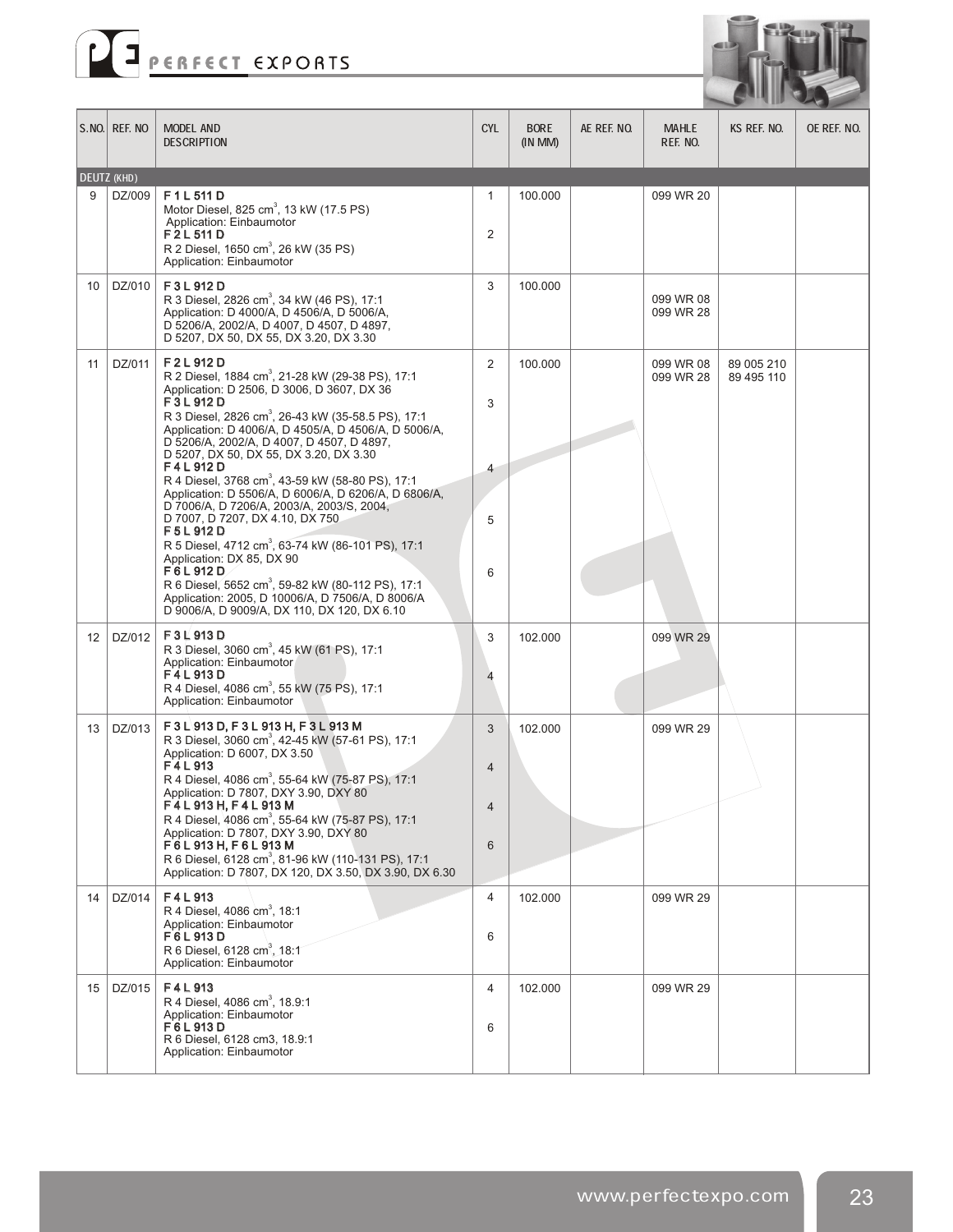



|                  | S.NO. REF. NO | <b>MODEL AND</b><br><b>DESCRIPTION</b>                                                                                                                                                                                                                                                                                                                                                                                                                                                                                                                                                                                                                                                                                                                                                                                                                       | <b>CYL</b>            | <b>BORE</b><br>$(IN$ MM $)$ | AE REF. NO. | <b>MAHLE</b><br>REF. NO. | KS REF. NO.              | oe ref. No. |
|------------------|---------------|--------------------------------------------------------------------------------------------------------------------------------------------------------------------------------------------------------------------------------------------------------------------------------------------------------------------------------------------------------------------------------------------------------------------------------------------------------------------------------------------------------------------------------------------------------------------------------------------------------------------------------------------------------------------------------------------------------------------------------------------------------------------------------------------------------------------------------------------------------------|-----------------------|-----------------------------|-------------|--------------------------|--------------------------|-------------|
|                  | DEUTZ (KHD)   |                                                                                                                                                                                                                                                                                                                                                                                                                                                                                                                                                                                                                                                                                                                                                                                                                                                              |                       |                             |             |                          |                          |             |
| 9                | DZ/009        | F1L511D<br>Motor Diesel, 825 cm <sup>3</sup> , 13 kW (17.5 PS)<br>Application: Einbaumotor<br>F2L511D<br>R 2 Diesel, 1650 cm <sup>3</sup> , 26 kW (35 PS)<br>Application: Einbaumotor                                                                                                                                                                                                                                                                                                                                                                                                                                                                                                                                                                                                                                                                        | 1<br>2                | 100.000                     |             | 099 WR 20                |                          |             |
| 10               | DZ/010        | F3L912D<br>R 3 Diesel, 2826 cm <sup>3</sup> , 34 kW (46 PS), 17:1<br>Application: D 4000/A, D 4506/A, D 5006/A,<br>D 5206/A, 2002/A, D 4007, D 4507, D 4897,<br>D 5207, DX 50, DX 55, DX 3.20, DX 3.30                                                                                                                                                                                                                                                                                                                                                                                                                                                                                                                                                                                                                                                       | 3                     | 100.000                     |             | 099 WR 08<br>099 WR 28   |                          |             |
| 11               | DZ/011        | F2L912D<br>R 2 Diesel, 1884 cm <sup>3</sup> , 21-28 kW (29-38 PS), 17:1<br>Application: D 2506, D 3006, D 3607, DX 36<br>F3L912D<br>R 3 Diesel, 2826 cm <sup>3</sup> , 26-43 kW (35-58.5 PS), 17:1<br>Application: D 4006/A, D 4505/A, D 4506/A, D 5006/A,<br>D 5206/A, 2002/A, D 4007, D 4507, D 4897.<br>D 5207, DX 50, DX 55, DX 3.20, DX 3.30<br>F4L912D<br>R 4 Diesel, 3768 cm <sup>3</sup> , 43-59 kW (58-80 PS), 17:1<br>Application: D 5506/A, D 6006/A, D 6206/A, D 6806/A,<br>D 7006/A, D 7206/A, 2003/A, 2003/S, 2004,<br>D 7007, D 7207, DX 4.10, DX 750<br>F5L912D<br>R 5 Diesel, 4712 cm <sup>3</sup> , 63-74 kW (86-101 PS), 17:1<br>Application: DX 85, DX 90<br>F6L912D<br>R 6 Diesel, 5652 cm <sup>3</sup> , 59-82 kW (80-112 PS), 17:1<br>Application: 2005, D 10006/A, D 7506/A, D 8006/A<br>D 9006/A, D 9009/A, DX 110, DX 120, DX 6.10 | 2<br>3<br>4<br>5<br>6 | 100.000                     |             | 099 WR 08<br>099 WR 28   | 89 005 210<br>89 495 110 |             |
| 12 <sup>12</sup> | DZ/012        | F3L913D<br>R 3 Diesel, 3060 cm <sup>3</sup> , 45 kW (61 PS), 17:1<br>Application: Einbaumotor<br>F4L913D<br>R 4 Diesel, 4086 cm <sup>3</sup> , 55 kW (75 PS), 17:1<br>Application: Einbaumotor                                                                                                                                                                                                                                                                                                                                                                                                                                                                                                                                                                                                                                                               | 3<br>4                | 102.000                     |             | 099 WR 29                |                          |             |
| 13               | DZ/013        | F3L913D, F3L913H, F3L913M<br>R 3 Diesel, 3060 cm <sup>3</sup> , 42-45 kW (57-61 PS), 17:1<br>Application: D 6007, DX 3.50<br>F4L913<br>R 4 Diesel, 4086 cm <sup>3</sup> , 55-64 kW (75-87 PS), 17:1<br>Application: D 7807, DXY 3.90, DXY 80<br>F4L913H, F4L913M<br>R 4 Diesel, 4086 cm <sup>3</sup> , 55-64 kW (75-87 PS), 17:1<br>Application: D 7807, DXY 3.90, DXY 80<br>F6L913H, F6L913M<br>R 6 Diesel, 6128 cm <sup>3</sup> , 81-96 kW (110-131 PS), 17:1<br>Application: D 7807, DX 120, DX 3.50, DX 3.90, DX 6.30                                                                                                                                                                                                                                                                                                                                    | 3<br>4<br>6           | 102.000                     |             | 099 WR 29                |                          |             |
| 14               | DZ/014        | F4L913<br>R 4 Diesel, 4086 cm <sup>3</sup> , 18:1<br>Application: Einbaumotor<br>F6L913D<br>R 6 Diesel, 6128 cm <sup>3</sup> , 18:1<br>Application: Einbaumotor                                                                                                                                                                                                                                                                                                                                                                                                                                                                                                                                                                                                                                                                                              | 4<br>6                | 102.000                     |             | 099 WR 29                |                          |             |
| 15 <sup>1</sup>  | DZ/015        | F4L913<br>R 4 Diesel, 4086 cm <sup>3</sup> , 18.9:1<br>Application: Einbaumotor<br>F6L913D<br>R 6 Diesel, 6128 cm3, 18.9:1<br>Application: Einbaumotor                                                                                                                                                                                                                                                                                                                                                                                                                                                                                                                                                                                                                                                                                                       | 4<br>6                | 102.000                     |             | 099 WR 29                |                          |             |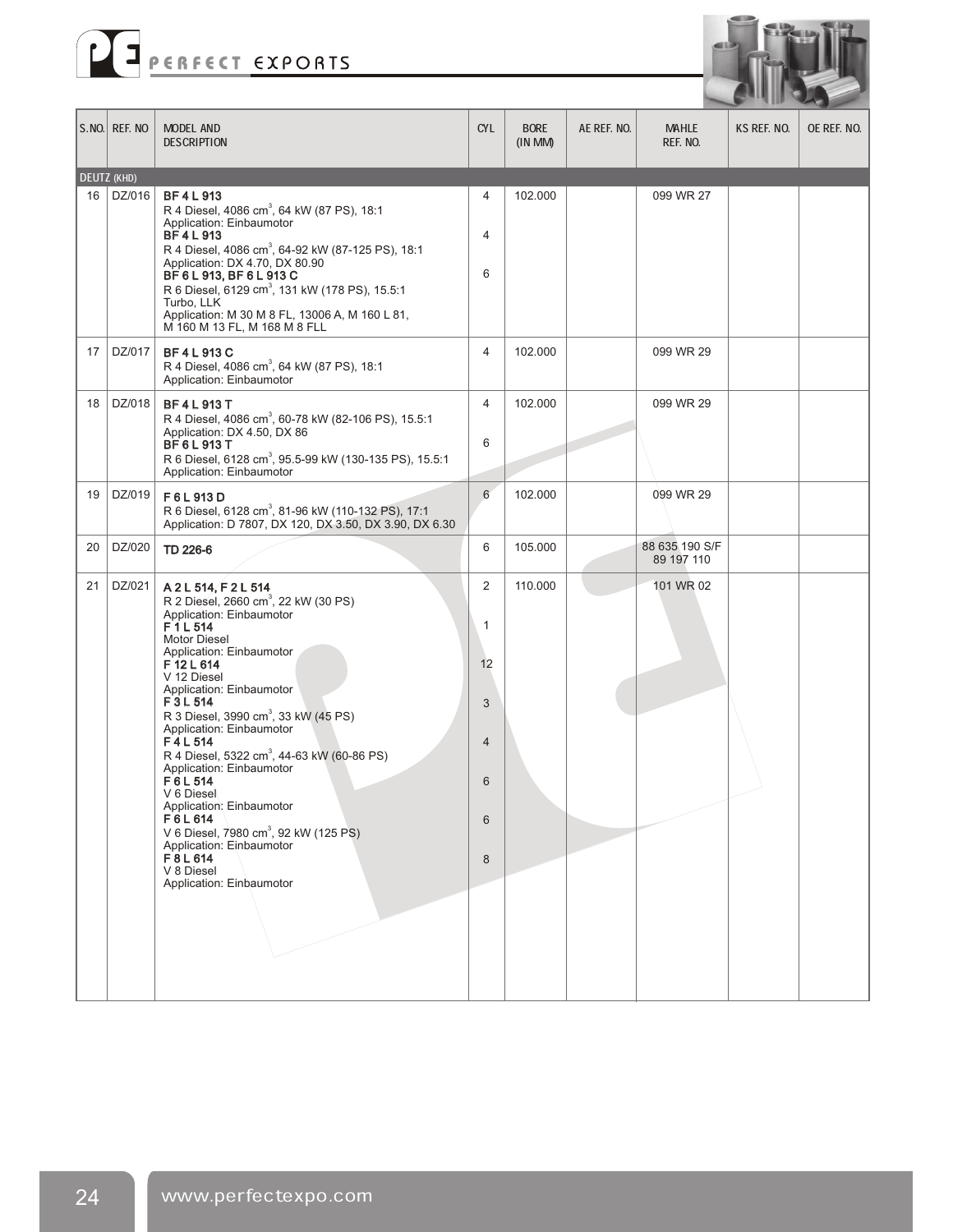



|    | $S.NO.$ Ref. No | <b>MODEL AND</b><br><b>DESCRIPTION</b>                                                                                                                                                                                                                                                                                                                                                                                                                                                                                                                                                                        | <b>CYL</b>                                                      | <b>BORE</b><br>(INMM) | AE REF. NO. | <b>MAHLE</b><br>REF. NO.     | KS REF. NO. | OE REF. NO. |
|----|-----------------|---------------------------------------------------------------------------------------------------------------------------------------------------------------------------------------------------------------------------------------------------------------------------------------------------------------------------------------------------------------------------------------------------------------------------------------------------------------------------------------------------------------------------------------------------------------------------------------------------------------|-----------------------------------------------------------------|-----------------------|-------------|------------------------------|-------------|-------------|
|    | DEUTZ (KHD)     |                                                                                                                                                                                                                                                                                                                                                                                                                                                                                                                                                                                                               |                                                                 |                       |             |                              |             |             |
| 16 | DZ/016          | <b>BF4L913</b><br>R 4 Diesel, 4086 cm <sup>3</sup> , 64 kW (87 PS), 18:1<br>Application: Einbaumotor<br><b>BF4L913</b><br>R 4 Diesel, 4086 cm <sup>3</sup> , 64-92 kW (87-125 PS), 18:1<br>Application: DX 4.70, DX 80.90<br>BF 6 L 913, BF 6 L 913 C<br>R 6 Diesel, 6129 cm <sup>3</sup> , 131 kW (178 PS), 15.5:1<br>Turbo, LLK<br>Application: M 30 M 8 FL, 13006 A, M 160 L 81,<br>M 160 M 13 FL, M 168 M 8 FLL                                                                                                                                                                                           | $\overline{4}$<br>$\overline{4}$<br>6                           | 102.000               |             | 099 WR 27                    |             |             |
| 17 | DZ/017          | <b>BF4L913C</b><br>R 4 Diesel, 4086 cm <sup>3</sup> , 64 kW (87 PS), 18:1<br>Application: Einbaumotor                                                                                                                                                                                                                                                                                                                                                                                                                                                                                                         | 4                                                               | 102.000               |             | 099 WR 29                    |             |             |
| 18 | DZ/018          | <b>BF4L913T</b><br>R 4 Diesel, 4086 cm <sup>3</sup> , 60-78 kW (82-106 PS), 15.5:1<br>Application: DX 4.50, DX 86<br><b>BF6L913T</b><br>R 6 Diesel, 6128 cm <sup>3</sup> , 95.5-99 kW (130-135 PS), 15.5:1<br>Application: Einbaumotor                                                                                                                                                                                                                                                                                                                                                                        | $\overline{4}$<br>6                                             | 102.000               |             | 099 WR 29                    |             |             |
| 19 | DZ/019          | F6L913D<br>R 6 Diesel, 6128 cm <sup>3</sup> , 81-96 kW (110-132 PS), 17:1<br>Application: D 7807, DX 120, DX 3.50, DX 3.90, DX 6.30                                                                                                                                                                                                                                                                                                                                                                                                                                                                           | $6\phantom{1}$                                                  | 102.000               |             | 099 WR 29                    |             |             |
| 20 | DZ/020          | TD 226-6                                                                                                                                                                                                                                                                                                                                                                                                                                                                                                                                                                                                      | 6                                                               | 105.000               |             | 88 635 190 S/F<br>89 197 110 |             |             |
| 21 | DZ/021          | A 2 L 514, F 2 L 514<br>R 2 Diesel, 2660 cm <sup>3</sup> , 22 kW (30 PS)<br>Application: Einbaumotor<br>F1L514<br>Motor Diesel<br>Application: Einbaumotor<br>F12L614<br>V 12 Diesel<br>Application: Einbaumotor<br>F3L514<br>R 3 Diesel, 3990 cm <sup>3</sup> , 33 kW (45 PS)<br>Application: Einbaumotor<br>F4L514<br>R 4 Diesel, 5322 cm <sup>3</sup> , 44-63 kW (60-86 PS)<br>Application: Einbaumotor<br>F6L514<br>V 6 Diesel<br>Application: Einbaumotor<br>F6L614<br>V 6 Diesel, 7980 cm <sup>3</sup> , 92 kW (125 PS)<br>Application: Einbaumotor<br>F8L614<br>V 8 Diesel<br>Application: Einbaumotor | $\overline{2}$<br>1<br>12<br>3<br>$\overline{4}$<br>6<br>6<br>8 | 110.000               |             | 101 WR 02                    |             |             |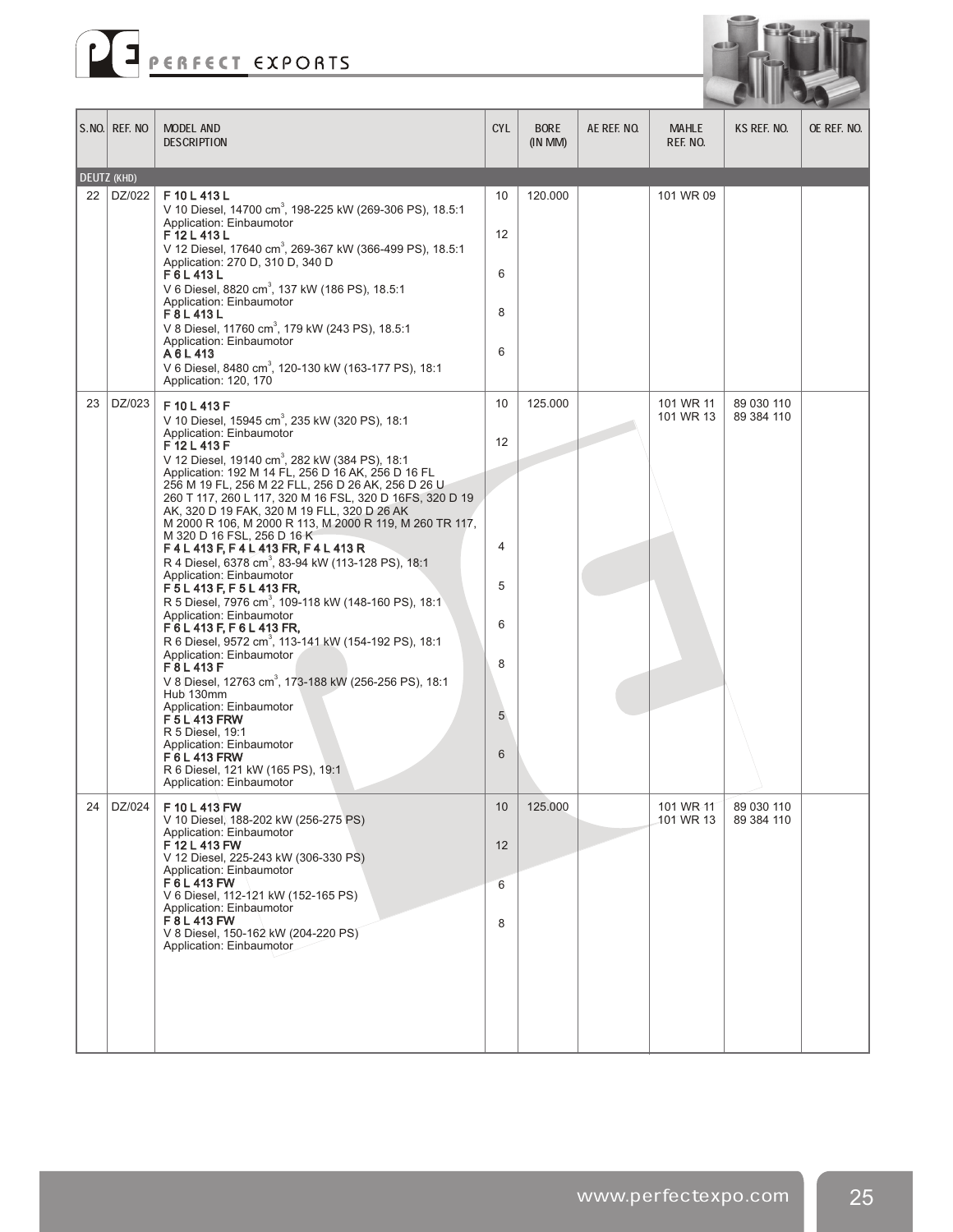



|    | S.NO. REF. NO      | MODEL AND<br><b>DESCRIPTION</b>                                                                                                                                      | <b>CYL</b> | <b>BORE</b><br>$(IN$ MM $)$ | AE REF. NO. | <b>MAHLE</b><br>REF. NO. | KS REF. NO.              | OE REF. NO. |
|----|--------------------|----------------------------------------------------------------------------------------------------------------------------------------------------------------------|------------|-----------------------------|-------------|--------------------------|--------------------------|-------------|
|    | <b>DEUTZ (KHD)</b> |                                                                                                                                                                      |            |                             |             |                          |                          |             |
| 22 | DZ/022             | F 10 L 413 L<br>V 10 Diesel, 14700 cm <sup>3</sup> , 198-225 kW (269-306 PS), 18.5:1<br>Application: Einbaumotor<br>F12L413L                                         | 10<br>12   | 120.000                     |             | 101 WR 09                |                          |             |
|    |                    | V 12 Diesel, 17640 cm <sup>3</sup> , 269-367 kW (366-499 PS), 18.5:1<br>Application: 270 D, 310 D, 340 D<br>F6L413L                                                  | 6          |                             |             |                          |                          |             |
|    |                    | V 6 Diesel, 8820 cm <sup>3</sup> , 137 kW (186 PS), 18.5:1<br>Application: Einbaumotor<br>F8L413L                                                                    | 8          |                             |             |                          |                          |             |
|    |                    | V 8 Diesel, 11760 cm <sup>3</sup> , 179 kW (243 PS), 18.5:1<br>Application: Einbaumotor                                                                              | 6          |                             |             |                          |                          |             |
|    |                    | A6L413<br>V 6 Diesel, 8480 cm <sup>3</sup> , 120-130 kW (163-177 PS), 18:1<br>Application: 120, 170                                                                  |            |                             |             |                          |                          |             |
| 23 | DZ/023             | F10L413F<br>V 10 Diesel, 15945 cm <sup>3</sup> , 235 kW (320 PS), 18:1                                                                                               | 10         | 125.000                     |             | 101 WR 11<br>101 WR 13   | 89 030 110<br>89 384 110 |             |
|    |                    | Application: Einbaumotor<br>F12L413F<br>V 12 Diesel, 19140 cm <sup>3</sup> , 282 kW (384 PS), 18:1                                                                   | 12         |                             |             |                          |                          |             |
|    |                    | Application: 192 M 14 FL, 256 D 16 AK, 256 D 16 FL<br>256 M 19 FL, 256 M 22 FLL, 256 D 26 AK, 256 D 26 U<br>260 T 117, 260 L 117, 320 M 16 FSL, 320 D 16FS, 320 D 19 |            |                             |             |                          |                          |             |
|    |                    | AK, 320 D 19 FAK, 320 M 19 FLL, 320 D 26 AK<br>M 2000 R 106, M 2000 R 113, M 2000 R 119, M 260 TR 117,<br>M 320 D 16 FSL, 256 D 16 K<br>F4L413F, F4L413FR, F4L413R   | 4          |                             |             |                          |                          |             |
|    |                    | R 4 Diesel, 6378 cm <sup>3</sup> , 83-94 kW (113-128 PS), 18:1<br>Application: Einbaumotor                                                                           | 5          |                             |             |                          |                          |             |
|    |                    | F 5 L 413 F, F 5 L 413 FR,<br>R 5 Diesel, 7976 cm <sup>3</sup> , 109-118 kW (148-160 PS), 18:1<br>Application: Einbaumotor                                           | 6          |                             |             |                          |                          |             |
|    |                    | F6L413F, F6L413FR,<br>R 6 Diesel, 9572 cm <sup>3</sup> , 113-141 kW (154-192 PS), 18:1<br>Application: Einbaumotor                                                   | 8          |                             |             |                          |                          |             |
|    |                    | F8L413F<br>V 8 Diesel, 12763 cm <sup>3</sup> , 173-188 kW (256-256 PS), 18:1<br>Hub 130mm                                                                            |            |                             |             |                          |                          |             |
|    |                    | Application: Einbaumotor<br>F 5 L 413 FRW<br>R 5 Diesel, 19:1                                                                                                        | 5          |                             |             |                          |                          |             |
|    |                    | Application: Einbaumotor<br>F 6 L 413 FRW<br>R 6 Diesel, 121 kW (165 PS), 19:1<br>Application: Einbaumotor                                                           | 6          |                             |             |                          |                          |             |
| 24 | DZ/024             | F 10 L 413 FW<br>V 10 Diesel, 188-202 kW (256-275 PS)<br>Application: Einbaumotor                                                                                    | 10         | 125.000                     |             | 101 WR-11<br>101 WR 13   | 89 030 110<br>89 384 110 |             |
|    |                    | F 12 L 413 FW<br>V 12 Diesel, 225-243 kW (306-330 PS)<br>Application: Einbaumotor                                                                                    | 12         |                             |             |                          |                          |             |
|    |                    | F6L413 FW<br>V 6 Diesel, 112-121 kW (152-165 PS)<br>Application: Einbaumotor                                                                                         | 6          |                             |             |                          |                          |             |
|    |                    | F 8 L 413 FW<br>V 8 Diesel, 150-162 kW (204-220-PS)<br>Application: Einbaumotor                                                                                      | 8          |                             |             |                          |                          |             |
|    |                    |                                                                                                                                                                      |            |                             |             |                          |                          |             |
|    |                    |                                                                                                                                                                      |            |                             |             |                          |                          |             |
|    |                    |                                                                                                                                                                      |            |                             |             |                          |                          |             |